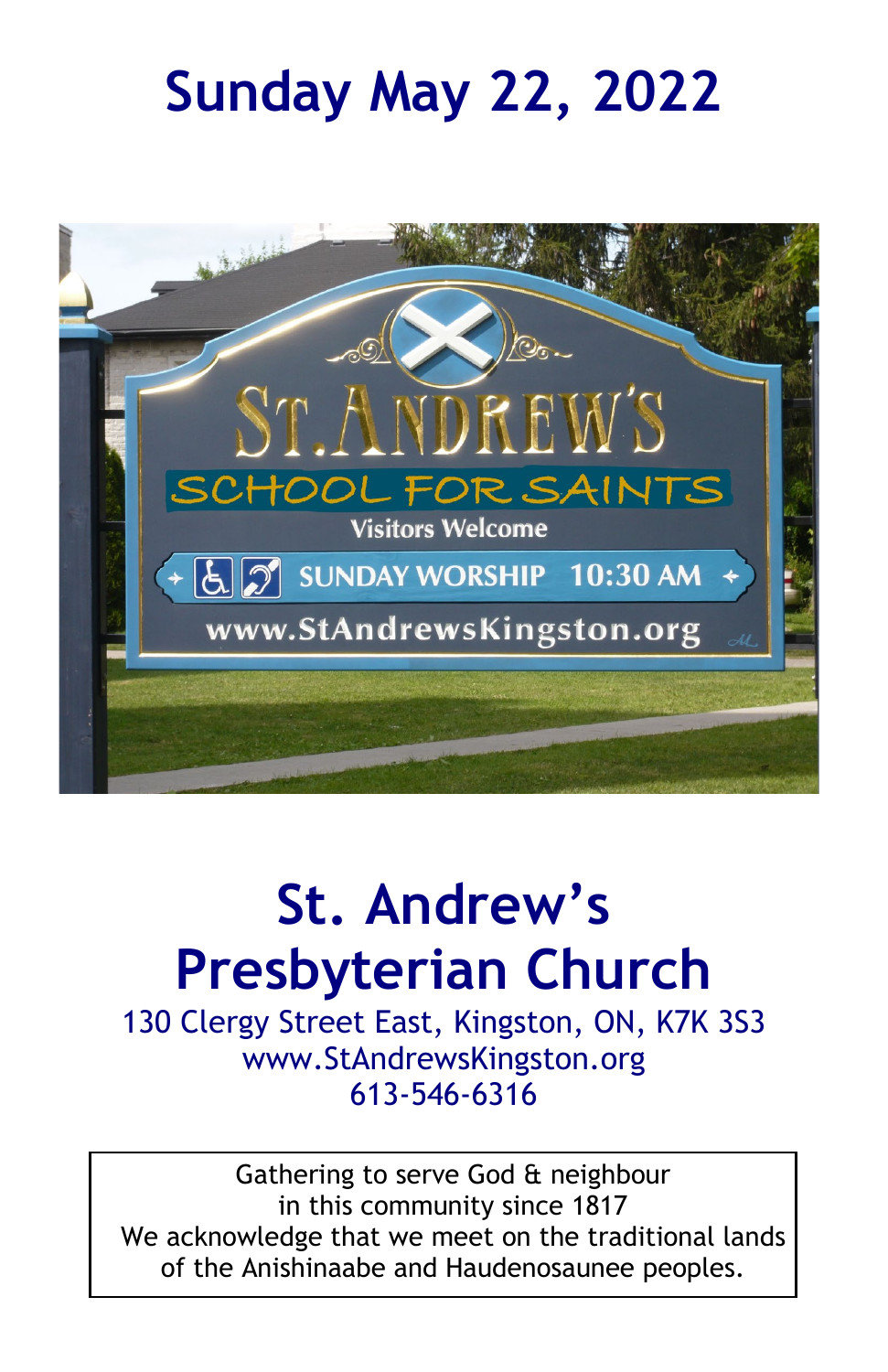# **Sunday May 22, 2022**



# **St. Andrew's Presbyterian Church**

130 Clergy Street East, Kingston, ON, K7K 3S3 www.StAndrewsKingston.org 613-546-6316

Gathering to serve God & neighbour in this community since 1817 We acknowledge that we meet on the traditional lands of the Anishinaabe and Haudenosaunee peoples.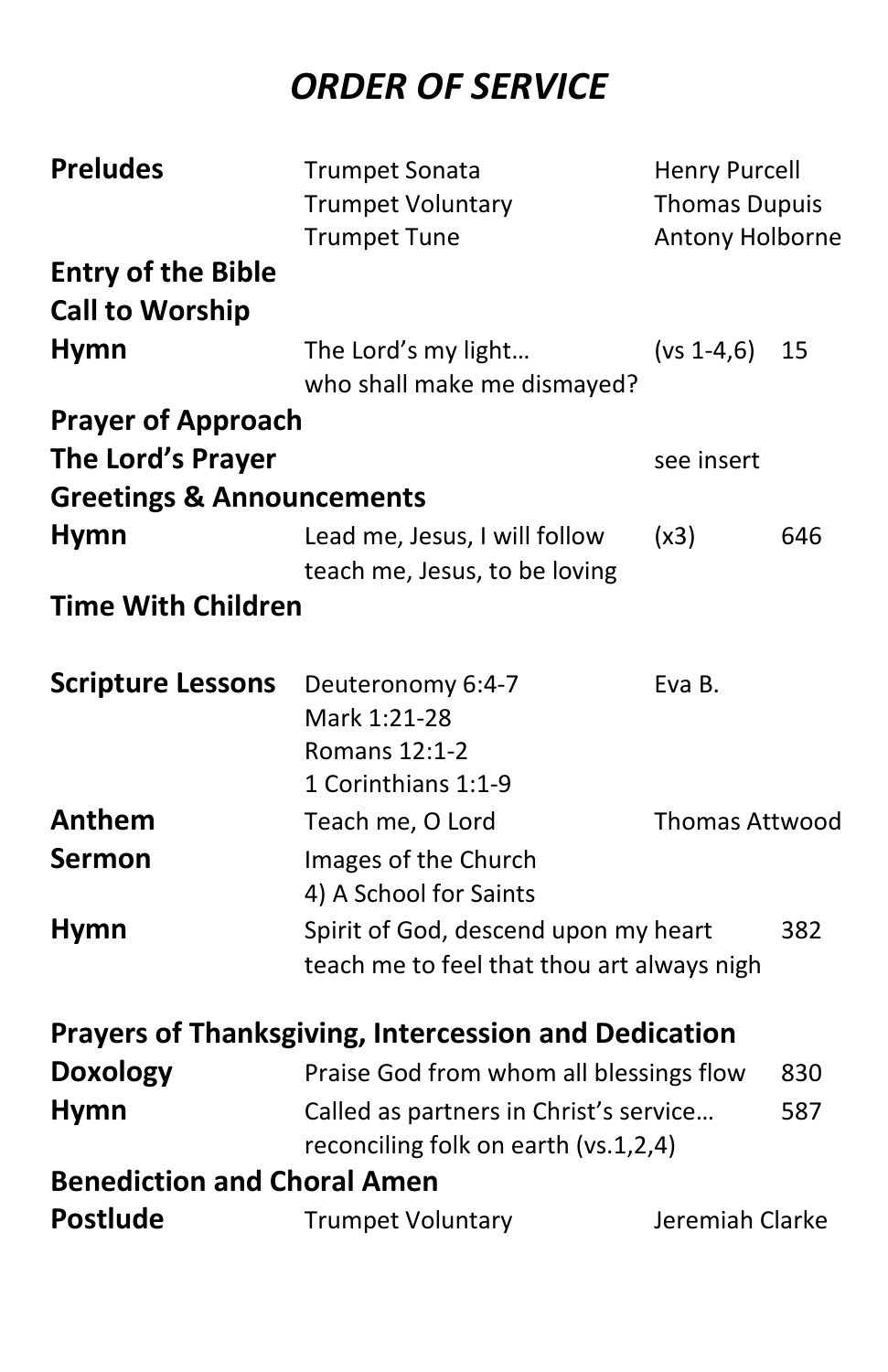## *ORDER OF SERVICE*

| <b>Preludes</b>                      | <b>Trumpet Sonata</b>                                                          | <b>Henry Purcell</b>  |     |  |  |
|--------------------------------------|--------------------------------------------------------------------------------|-----------------------|-----|--|--|
|                                      | <b>Trumpet Voluntary</b>                                                       | <b>Thomas Dupuis</b>  |     |  |  |
|                                      | <b>Trumpet Tune</b>                                                            | Antony Holborne       |     |  |  |
| <b>Entry of the Bible</b>            |                                                                                |                       |     |  |  |
| <b>Call to Worship</b>               |                                                                                |                       |     |  |  |
| <b>Hymn</b>                          | The Lord's my light                                                            | $(vs 1-4,6)$          | 15  |  |  |
|                                      | who shall make me dismayed?                                                    |                       |     |  |  |
| <b>Prayer of Approach</b>            |                                                                                |                       |     |  |  |
| The Lord's Prayer                    |                                                                                | see insert            |     |  |  |
| <b>Greetings &amp; Announcements</b> |                                                                                |                       |     |  |  |
| <b>Hymn</b>                          | Lead me, Jesus, I will follow                                                  | (x3)                  | 646 |  |  |
|                                      | teach me, Jesus, to be loving                                                  |                       |     |  |  |
| <b>Time With Children</b>            |                                                                                |                       |     |  |  |
|                                      |                                                                                |                       |     |  |  |
| <b>Scripture Lessons</b>             | Deuteronomy 6:4-7                                                              | Eva B.                |     |  |  |
|                                      | Mark 1:21-28                                                                   |                       |     |  |  |
|                                      | Romans 12:1-2                                                                  |                       |     |  |  |
|                                      | 1 Corinthians 1:1-9                                                            |                       |     |  |  |
| Anthem                               | Teach me, O Lord                                                               | <b>Thomas Attwood</b> |     |  |  |
| <b>Sermon</b>                        | Images of the Church                                                           |                       |     |  |  |
|                                      | 4) A School for Saints                                                         |                       |     |  |  |
| <b>Hymn</b>                          | Spirit of God, descend upon my heart                                           | 382                   |     |  |  |
|                                      | teach me to feel that thou art always nigh                                     |                       |     |  |  |
|                                      |                                                                                |                       |     |  |  |
|                                      | <b>Prayers of Thanksgiving, Intercession and Dedication</b>                    |                       |     |  |  |
| <b>Doxology</b>                      | Praise God from whom all blessings flow                                        | 830                   |     |  |  |
| <b>Hymn</b>                          | Called as partners in Christ's service<br>reconciling folk on earth (vs.1,2,4) |                       | 587 |  |  |
| <b>Benediction and Choral Amen</b>   |                                                                                |                       |     |  |  |
| <b>Postlude</b>                      | <b>Trumpet Voluntary</b>                                                       | Jeremiah Clarke       |     |  |  |
|                                      |                                                                                |                       |     |  |  |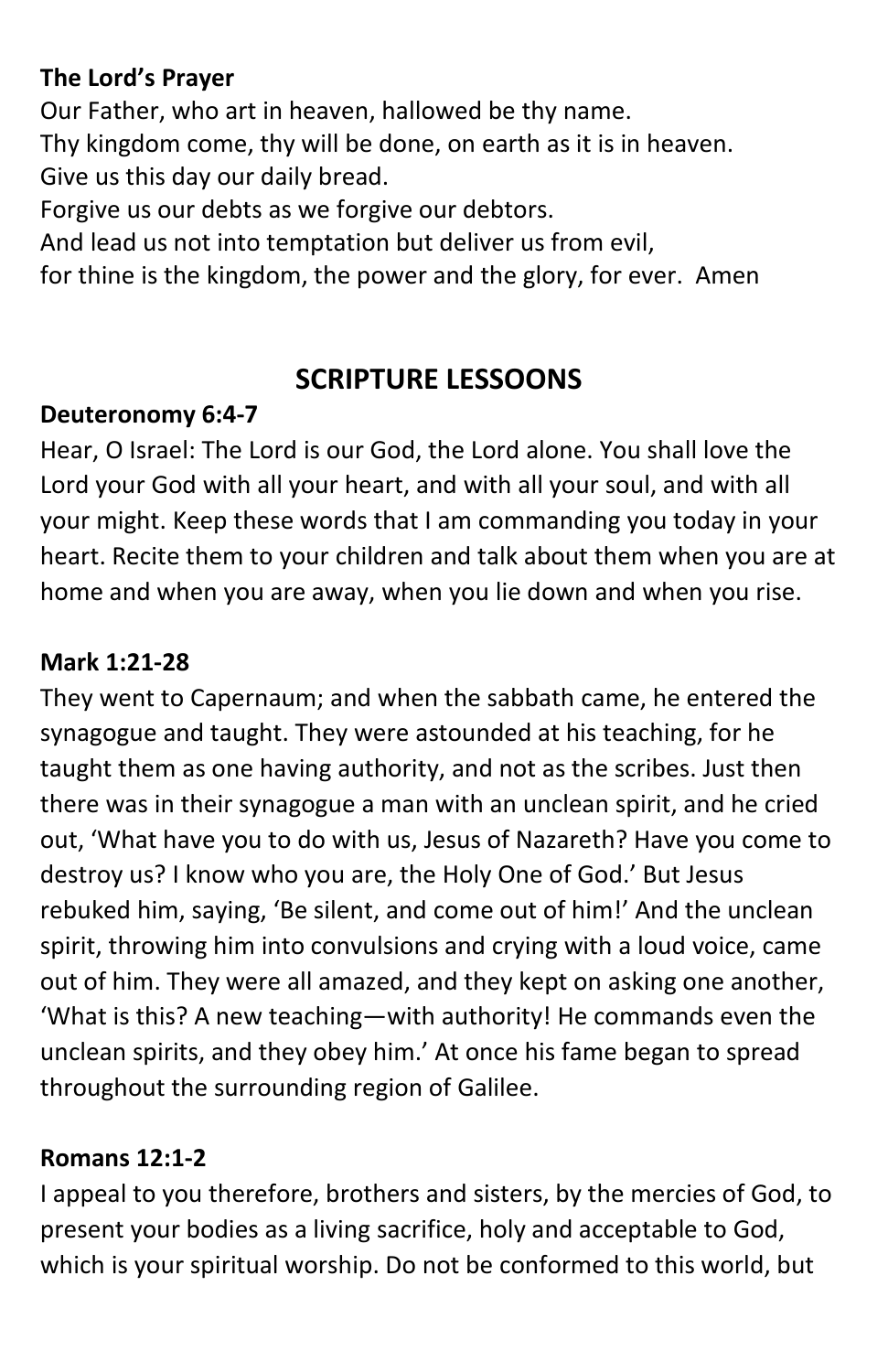#### **The Lord's Prayer**

Our Father, who art in heaven, hallowed be thy name. Thy kingdom come, thy will be done, on earth as it is in heaven. Give us this day our daily bread. Forgive us our debts as we forgive our debtors.

And lead us not into temptation but deliver us from evil,

for thine is the kingdom, the power and the glory, for ever. Amen

### **SCRIPTURE LESSOONS**

#### **Deuteronomy 6:4-7**

Hear, O Israel: The Lord is our God, the Lord alone. You shall love the Lord your God with all your heart, and with all your soul, and with all your might. Keep these words that I am commanding you today in your heart. Recite them to your children and talk about them when you are at home and when you are away, when you lie down and when you rise.

#### **Mark 1:21-28**

They went to Capernaum; and when the sabbath came, he entered the synagogue and taught. They were astounded at his teaching, for he taught them as one having authority, and not as the scribes. Just then there was in their synagogue a man with an unclean spirit, and he cried out, 'What have you to do with us, Jesus of Nazareth? Have you come to destroy us? I know who you are, the Holy One of God.' But Jesus rebuked him, saying, 'Be silent, and come out of him!' And the unclean spirit, throwing him into convulsions and crying with a loud voice, came out of him. They were all amazed, and they kept on asking one another, 'What is this? A new teaching—with authority! He commands even the unclean spirits, and they obey him.' At once his fame began to spread throughout the surrounding region of Galilee.

#### **Romans 12:1-2**

I appeal to you therefore, brothers and sisters, by the mercies of God, to present your bodies as a living sacrifice, holy and acceptable to God, which is your spiritual worship. Do not be conformed to this world, but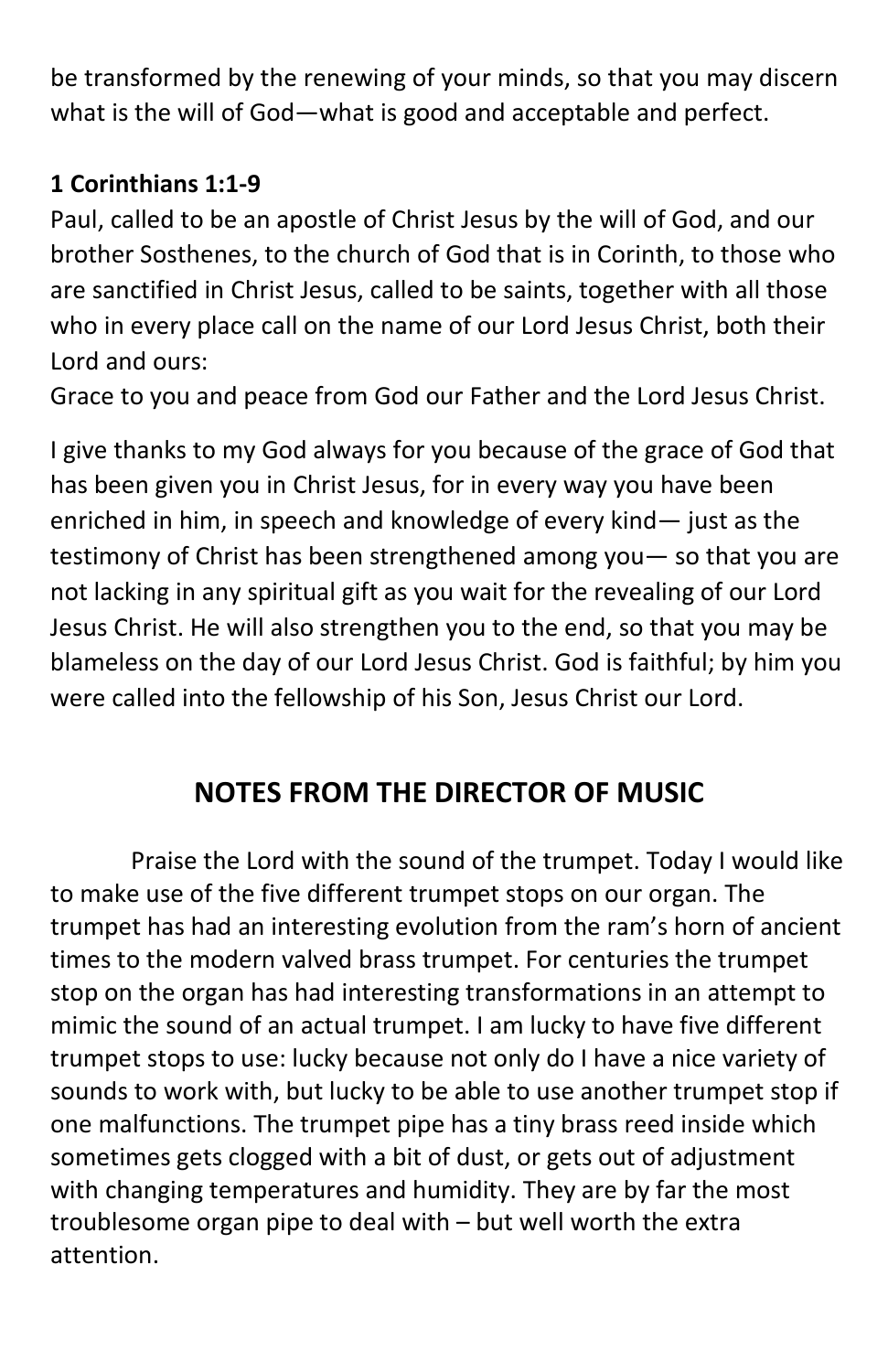be transformed by the renewing of your minds, so that you may discern what is the will of God—what is good and acceptable and perfect.

#### **1 Corinthians 1:1-9**

Paul, called to be an apostle of Christ Jesus by the will of God, and our brother Sosthenes, to the church of God that is in Corinth, to those who are sanctified in Christ Jesus, called to be saints, together with all those who in every place call on the name of our Lord Jesus Christ, both their Lord and ours:

Grace to you and peace from God our Father and the Lord Jesus Christ.

I give thanks to my God always for you because of the grace of God that has been given you in Christ Jesus, for in every way you have been enriched in him, in speech and knowledge of every kind— just as the testimony of Christ has been strengthened among you— so that you are not lacking in any spiritual gift as you wait for the revealing of our Lord Jesus Christ. He will also strengthen you to the end, so that you may be blameless on the day of our Lord Jesus Christ. God is faithful; by him you were called into the fellowship of his Son, Jesus Christ our Lord.

## **NOTES FROM THE DIRECTOR OF MUSIC**

Praise the Lord with the sound of the trumpet. Today I would like to make use of the five different trumpet stops on our organ. The trumpet has had an interesting evolution from the ram's horn of ancient times to the modern valved brass trumpet. For centuries the trumpet stop on the organ has had interesting transformations in an attempt to mimic the sound of an actual trumpet. I am lucky to have five different trumpet stops to use: lucky because not only do I have a nice variety of sounds to work with, but lucky to be able to use another trumpet stop if one malfunctions. The trumpet pipe has a tiny brass reed inside which sometimes gets clogged with a bit of dust, or gets out of adjustment with changing temperatures and humidity. They are by far the most troublesome organ pipe to deal with – but well worth the extra attention.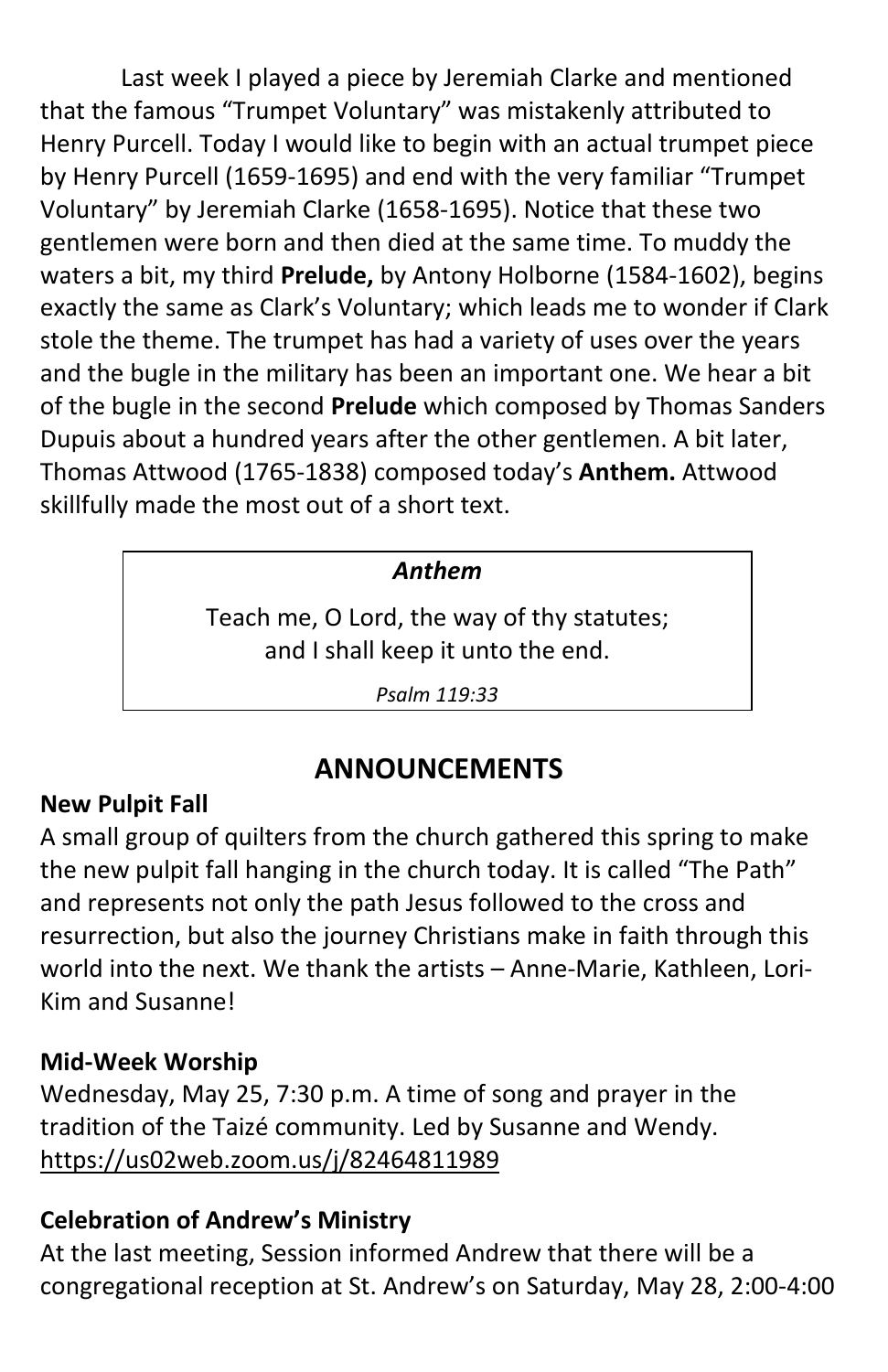Last week I played a piece by Jeremiah Clarke and mentioned that the famous "Trumpet Voluntary" was mistakenly attributed to Henry Purcell. Today I would like to begin with an actual trumpet piece by Henry Purcell (1659-1695) and end with the very familiar "Trumpet Voluntary" by Jeremiah Clarke (1658-1695). Notice that these two gentlemen were born and then died at the same time. To muddy the waters a bit, my third **Prelude,** by Antony Holborne (1584-1602), begins exactly the same as Clark's Voluntary; which leads me to wonder if Clark stole the theme. The trumpet has had a variety of uses over the years and the bugle in the military has been an important one. We hear a bit of the bugle in the second **Prelude** which composed by Thomas Sanders Dupuis about a hundred years after the other gentlemen. A bit later, Thomas Attwood (1765-1838) composed today's **Anthem.** Attwood skillfully made the most out of a short text.

#### *Anthem*

Teach me, O Lord, the way of thy statutes; and I shall keep it unto the end.

*Psalm 119:33*

## **ANNOUNCEMENTS**

#### **New Pulpit Fall**

A small group of quilters from the church gathered this spring to make the new pulpit fall hanging in the church today. It is called "The Path" and represents not only the path Jesus followed to the cross and resurrection, but also the journey Christians make in faith through this world into the next. We thank the artists – Anne-Marie, Kathleen, Lori-Kim and Susanne!

#### **Mid-Week Worship**

Wednesday, May 25, 7:30 p.m. A time of song and prayer in the tradition of the Taizé community. Led by Susanne and Wendy. <https://us02web.zoom.us/j/82464811989>

#### **Celebration of Andrew's Ministry**

At the last meeting, Session informed Andrew that there will be a congregational reception at St. Andrew's on Saturday, May 28, 2:00-4:00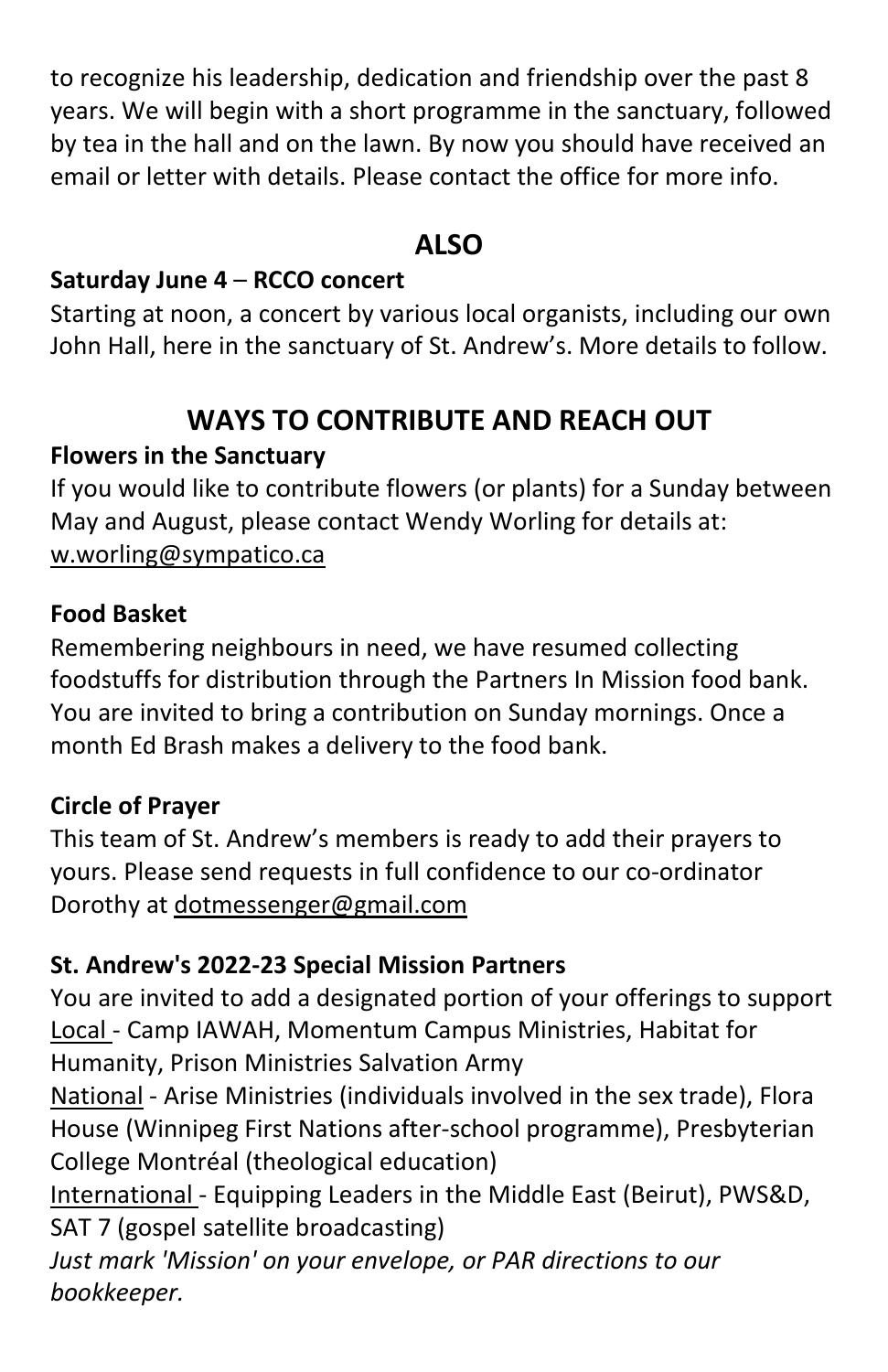to recognize his leadership, dedication and friendship over the past 8 years. We will begin with a short programme in the sanctuary, followed by tea in the hall and on the lawn. By now you should have received an email or letter with details. Please contact the office for more info.

## **ALSO**

#### **Saturday June 4** – **RCCO concert**

Starting at noon, a concert by various local organists, including our own John Hall, here in the sanctuary of St. Andrew's. More details to follow.

## **WAYS TO CONTRIBUTE AND REACH OUT**

#### **Flowers in the Sanctuary**

If you would like to contribute flowers (or plants) for a Sunday between May and August, please contact Wendy Worling for details at: w.worling@sympatico.ca

#### **Food Basket**

Remembering neighbours in need, we have resumed collecting foodstuffs for distribution through the Partners In Mission food bank. You are invited to bring a contribution on Sunday mornings. Once a month Ed Brash makes a delivery to the food bank.

#### **Circle of Prayer**

This team of St. Andrew's members is ready to add their prayers to yours. Please send requests in full confidence to our co-ordinator Dorothy at [dotmessenger@gmail.com](mailto:dotmessenger@gmail.com)

#### **St. Andrew's 2022-23 Special Mission Partners**

You are invited to add a designated portion of your offerings to support Local - Camp IAWAH, Momentum Campus Ministries, Habitat for Humanity, Prison Ministries Salvation Army

National - Arise Ministries (individuals involved in the sex trade), Flora House (Winnipeg First Nations after-school programme), Presbyterian College Montréal (theological education)

International - Equipping Leaders in the Middle East (Beirut), PWS&D, SAT 7 (gospel satellite broadcasting)

*Just mark 'Mission' on your envelope, or PAR directions to our bookkeeper.*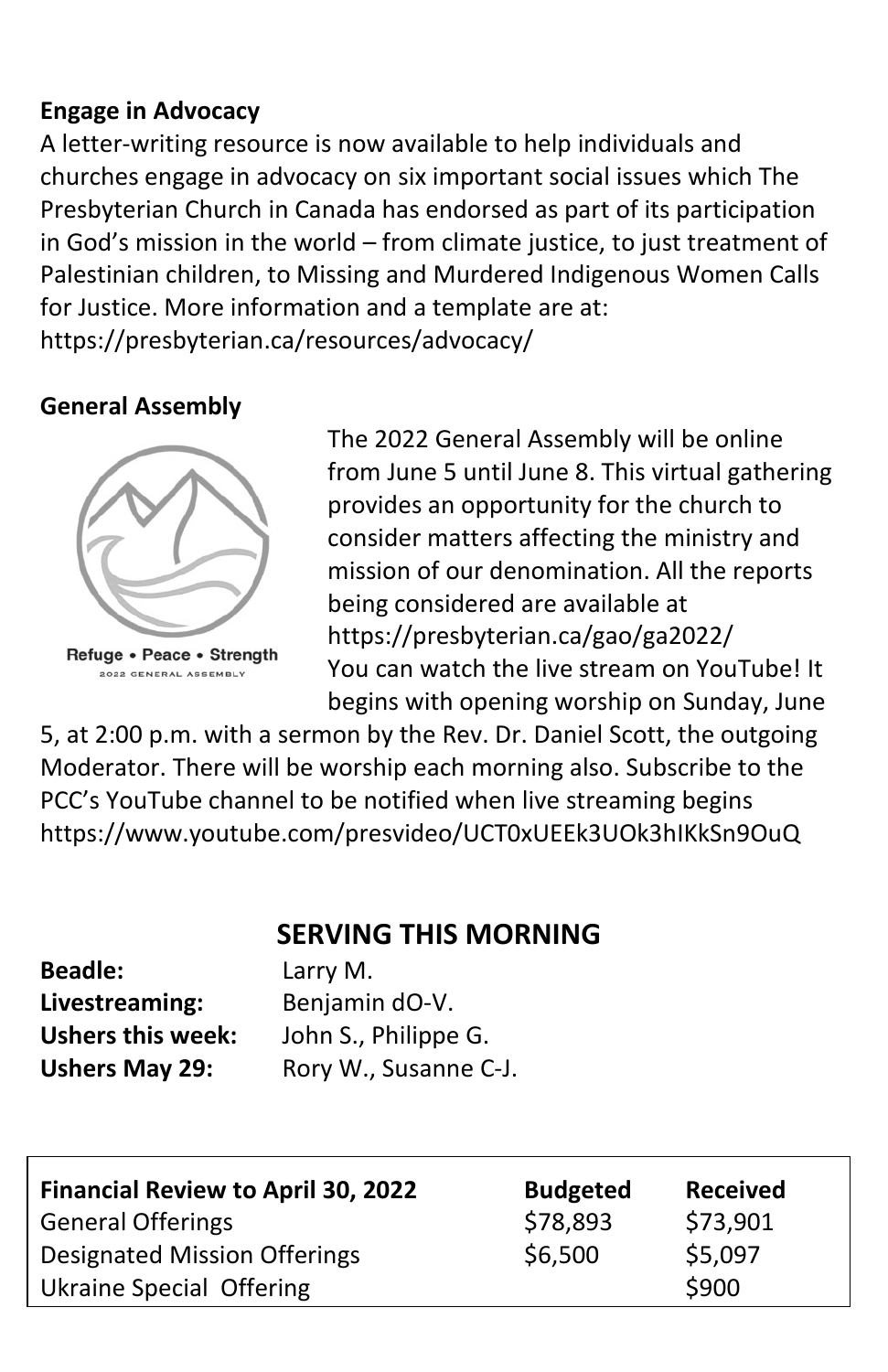#### **Engage in Advocacy**

A letter-writing resource is now available to help individuals and churches engage in advocacy on six important social issues which The Presbyterian Church in Canada has endorsed as part of its participation in God's mission in the world – from climate justice, to just treatment of Palestinian children, to Missing and Murdered Indigenous Women Calls for Justice. More information and a template are at: https://presbyterian.ca/resources/advocacy/

#### **General Assembly**



2022 GENERAL ASSEMBLY

The 2022 General Assembly will be online from June 5 until June 8. This virtual gathering provides an opportunity for the church to consider matters affecting the ministry and mission of our denomination. All the reports being considered are available at https://presbyterian.ca/gao/ga2022/ You can watch the live stream on YouTube! It begins with opening worship on Sunday, June

5, at 2:00 p.m. with a sermon by the Rev. Dr. Daniel Scott, the outgoing Moderator. There will be worship each morning also. Subscribe to the PCC's YouTube channel to be notified when live streaming begins https://www.youtube.com/presvideo/UCT0xUEEk3UOk3hIKkSn9OuQ

### **SERVING THIS MORNING**

| <b>Beadle:</b>           |  |  |  |
|--------------------------|--|--|--|
| Livestreaming:           |  |  |  |
| <b>Ushers this week:</b> |  |  |  |
| <b>Ushers May 29:</b>    |  |  |  |

Larry M. Benjamin dO-V. John S., Philippe G. Rory W., Susanne C-J.

| <b>Financial Review to April 30, 2022</b> | <b>Budgeted</b> | <b>Received</b> |
|-------------------------------------------|-----------------|-----------------|
| <b>General Offerings</b>                  | \$78,893        | \$73,901        |
| <b>Designated Mission Offerings</b>       | \$6,500         | \$5,097         |
| Ukraine Special Offering                  |                 | \$900           |